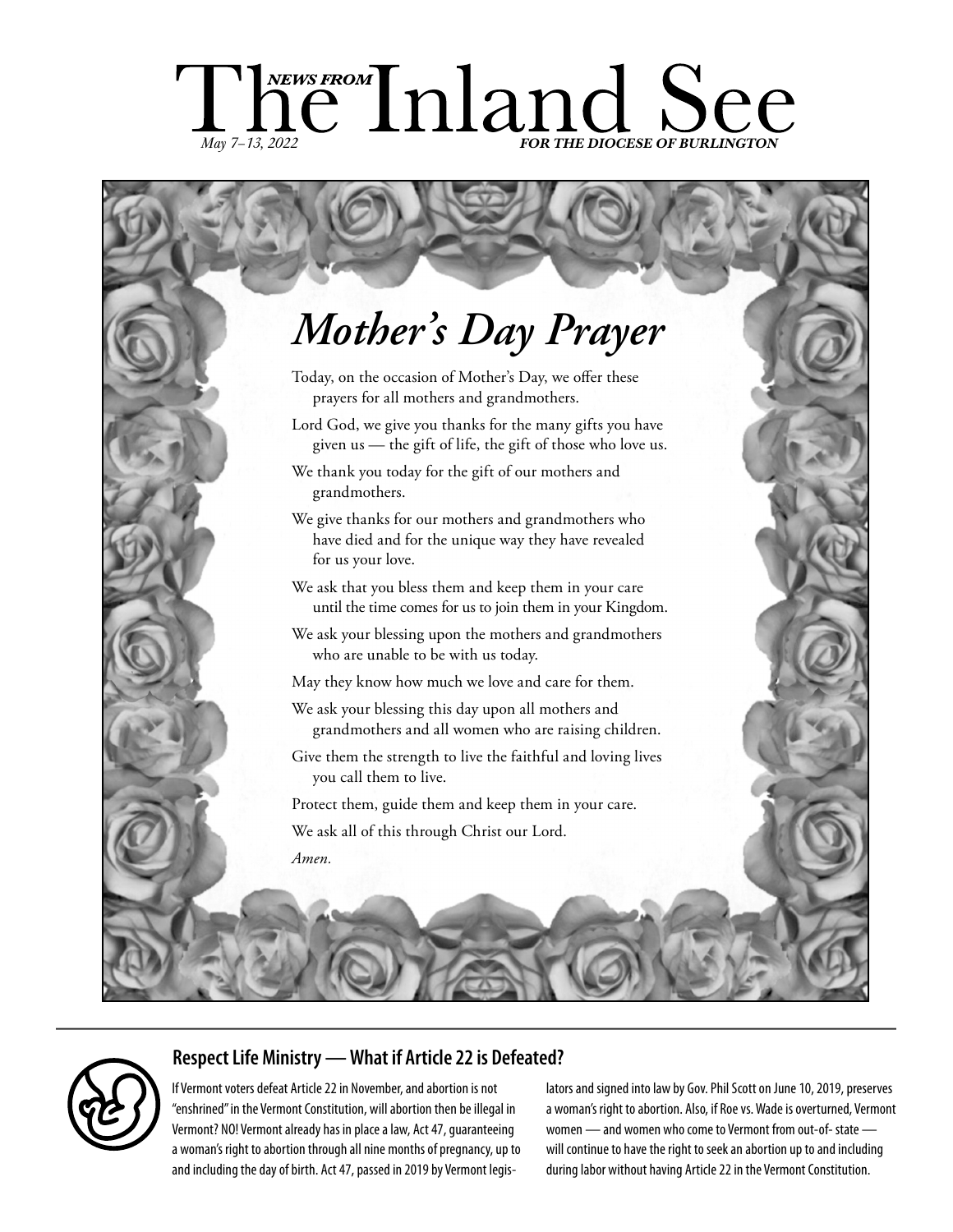# ChewsFROM Inland See *May 7-13, 2022*

# *Mother's Day Prayer*

- Today, on the occasion of Mother's Day, we offer these prayers for all mothers and grandmothers.
- Lord God, we give you thanks for the many gifts you have given us — the gift of life, the gift of those who love us.
- We thank you today for the gift of our mothers and grandmothers.
- We give thanks for our mothers and grandmothers who have died and for the unique way they have revealed for us your love.
- We ask that you bless them and keep them in your care until the time comes for us to join them in your Kingdom.
- We ask your blessing upon the mothers and grandmothers who are unable to be with us today.
- May they know how much we love and care for them.
- We ask your blessing this day upon all mothers and grandmothers and all women who are raising children.
- Give them the strength to live the faithful and loving lives you call them to live.
- Protect them, guide them and keep them in your care. We ask all of this through Christ our Lord. *Amen.*

# **Respect Life Ministry — What if Article 22 is Defeated?**

If Vermont voters defeat Article 22 in November, and abortion is not "enshrined" in the Vermont Constitution, will abortion then be illegal in Vermont? NO! Vermont already has in place a law, Act 47, guaranteeing a woman's right to abortion through all nine months of pregnancy, up to and including the day of birth. Act 47, passed in 2019 by Vermont legislators and signed into law by Gov. Phil Scott on June 10, 2019, preserves a woman's right to abortion. Also, if Roe vs. Wade is overturned, Vermont women — and women who come to Vermont from out-of- state will continue to have the right to seek an abortion up to and including during labor without having Article 22 in the Vermont Constitution.